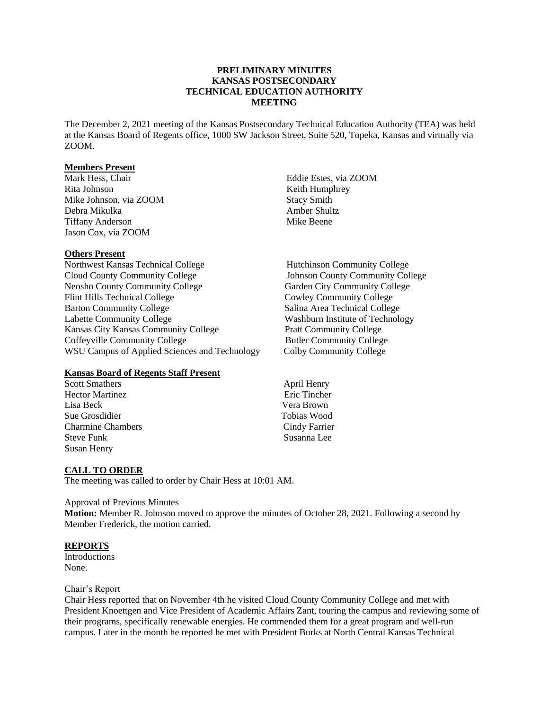# **PRELIMINARY MINUTES KANSAS POSTSECONDARY TECHNICAL EDUCATION AUTHORITY MEETING**

The December 2, 2021 meeting of the Kansas Postsecondary Technical Education Authority (TEA) was held at the Kansas Board of Regents office, 1000 SW Jackson Street, Suite 520, Topeka, Kansas and virtually via ZOOM.

#### **Members Present**

Mark Hess, Chair Rita Johnson Mike Johnson, via ZOOM Debra Mikulka Tiffany Anderson Jason Cox, via ZOOM

## **Others Present**

Northwest Kansas Technical College Hutchinson Community College Cloud County Community College Johnson County Community College Neosho County Community College Garden City Community College Flint Hills Technical College Cowley Community College<br>Barton Community College Salina Area Technical College Barton Community College<br>
Labette Community College<br>
Labette Community College<br>
Salina Area Technical College<br>
Washburn Institute of Technolo Kansas City Kansas Community College Pratt Community College Coffeyville Community College Butler Community College WSU Campus of Applied Sciences and Technology Colby Community College

## **Kansas Board of Regents Staff Present**

Scott Smathers April Henry<br>
Hector Martinez Eric Tincher Hector Martinez Lisa Beck Vera Brown Sue Grosdidier Charmine Chambers Cindy Farrier Steve Funk Susanna Lee Susan Henry

Eddie Estes, via ZOOM Keith Humphrey Stacy Smith Amber Shultz Mike Beene

Washburn Institute of Technology

## **CALL TO ORDER**

The meeting was called to order by Chair Hess at 10:01 AM.

#### Approval of Previous Minutes

**Motion:** Member R. Johnson moved to approve the minutes of October 28, 2021. Following a second by Member Frederick, the motion carried.

#### **REPORTS**

Introductions None.

#### Chair's Report

Chair Hess reported that on November 4th he visited Cloud County Community College and met with President Knoettgen and Vice President of Academic Affairs Zant, touring the campus and reviewing some of their programs, specifically renewable energies. He commended them for a great program and well-run campus. Later in the month he reported he met with President Burks at North Central Kansas Technical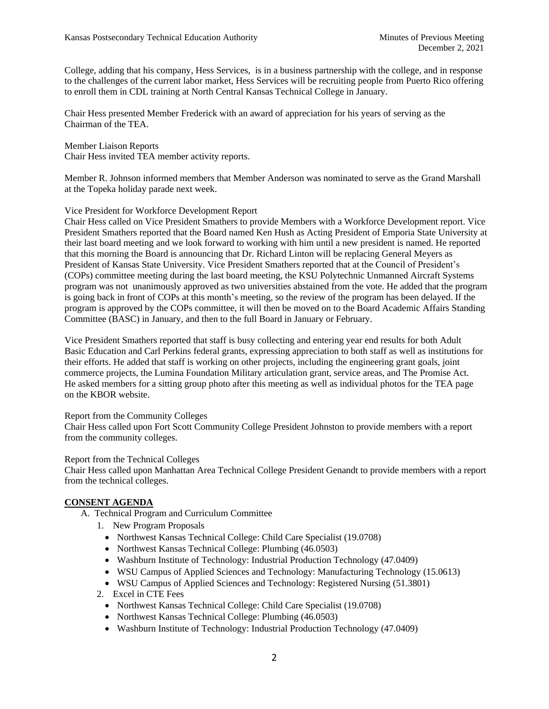College, adding that his company, Hess Services, is in a business partnership with the college, and in response to the challenges of the current labor market, Hess Services will be recruiting people from Puerto Rico offering to enroll them in CDL training at North Central Kansas Technical College in January.

Chair Hess presented Member Frederick with an award of appreciation for his years of serving as the Chairman of the TEA.

Member Liaison Reports Chair Hess invited TEA member activity reports.

Member R. Johnson informed members that Member Anderson was nominated to serve as the Grand Marshall at the Topeka holiday parade next week.

# Vice President for Workforce Development Report

Chair Hess called on Vice President Smathers to provide Members with a Workforce Development report. Vice President Smathers reported that the Board named Ken Hush as Acting President of Emporia State University at their last board meeting and we look forward to working with him until a new president is named. He reported that this morning the Board is announcing that Dr. Richard Linton will be replacing General Meyers as President of Kansas State University. Vice President Smathers reported that at the Council of President's (COPs) committee meeting during the last board meeting, the KSU Polytechnic Unmanned Aircraft Systems program was not unanimously approved as two universities abstained from the vote. He added that the program is going back in front of COPs at this month's meeting, so the review of the program has been delayed. If the program is approved by the COPs committee, it will then be moved on to the Board Academic Affairs Standing Committee (BASC) in January, and then to the full Board in January or February.

Vice President Smathers reported that staff is busy collecting and entering year end results for both Adult Basic Education and Carl Perkins federal grants, expressing appreciation to both staff as well as institutions for their efforts. He added that staff is working on other projects, including the engineering grant goals, joint commerce projects, the Lumina Foundation Military articulation grant, service areas, and The Promise Act. He asked members for a sitting group photo after this meeting as well as individual photos for the TEA page on the KBOR website.

## Report from the Community Colleges

Chair Hess called upon Fort Scott Community College President Johnston to provide members with a report from the community colleges.

## Report from the Technical Colleges

Chair Hess called upon Manhattan Area Technical College President Genandt to provide members with a report from the technical colleges.

# **CONSENT AGENDA**

- A. Technical Program and Curriculum Committee
	- 1. New Program Proposals
		- Northwest Kansas Technical College: Child Care Specialist (19.0708)
		- Northwest Kansas Technical College: Plumbing (46.0503)
		- Washburn Institute of Technology: Industrial Production Technology (47.0409)
		- WSU Campus of Applied Sciences and Technology: Manufacturing Technology (15.0613)
		- WSU Campus of Applied Sciences and Technology: Registered Nursing (51.3801)
	- 2. Excel in CTE Fees
		- Northwest Kansas Technical College: Child Care Specialist (19.0708)
		- Northwest Kansas Technical College: Plumbing (46.0503)
		- Washburn Institute of Technology: Industrial Production Technology (47.0409)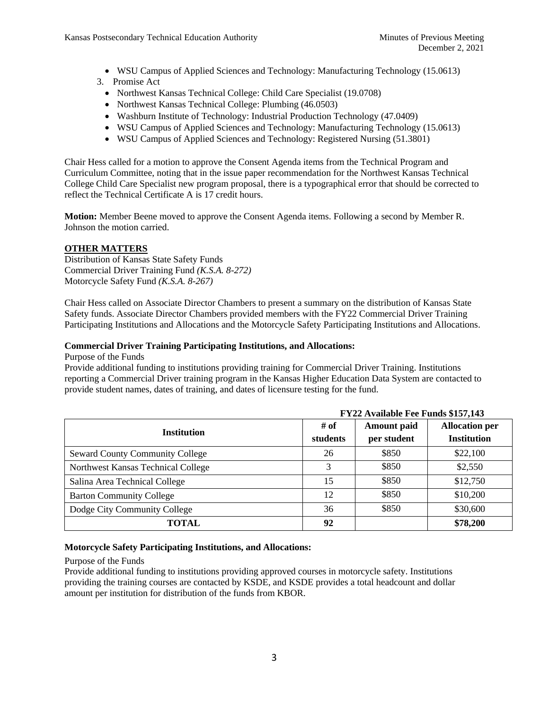- WSU Campus of Applied Sciences and Technology: Manufacturing Technology (15.0613)
- 3. Promise Act
	- Northwest Kansas Technical College: Child Care Specialist (19.0708)
	- Northwest Kansas Technical College: Plumbing (46.0503)
	- Washburn Institute of Technology: Industrial Production Technology (47.0409)
	- WSU Campus of Applied Sciences and Technology: Manufacturing Technology (15.0613)
	- WSU Campus of Applied Sciences and Technology: Registered Nursing (51.3801)

Chair Hess called for a motion to approve the Consent Agenda items from the Technical Program and Curriculum Committee, noting that in the issue paper recommendation for the Northwest Kansas Technical College Child Care Specialist new program proposal, there is a typographical error that should be corrected to reflect the Technical Certificate A is 17 credit hours.

**Motion:** Member Beene moved to approve the Consent Agenda items. Following a second by Member R. Johnson the motion carried.

# **OTHER MATTERS**

Distribution of Kansas State Safety Funds Commercial Driver Training Fund *(K.S.A. 8-272)* Motorcycle Safety Fund *(K.S.A. 8-267)*

Chair Hess called on Associate Director Chambers to present a summary on the distribution of Kansas State Safety funds. Associate Director Chambers provided members with the FY22 Commercial Driver Training Participating Institutions and Allocations and the Motorcycle Safety Participating Institutions and Allocations.

## **Commercial Driver Training Participating Institutions, and Allocations:**

Purpose of the Funds

Provide additional funding to institutions providing training for Commercial Driver Training. Institutions reporting a Commercial Driver training program in the Kansas Higher Education Data System are contacted to provide student names, dates of training, and dates of licensure testing for the fund.

|                                        | FY22 Available Fee Funds \$157,143 |                                   |                                             |
|----------------------------------------|------------------------------------|-----------------------------------|---------------------------------------------|
| <b>Institution</b>                     | # of<br>students                   | <b>Amount paid</b><br>per student | <b>Allocation per</b><br><b>Institution</b> |
| <b>Seward County Community College</b> | 26                                 | \$850                             | \$22,100                                    |
| Northwest Kansas Technical College     | 3                                  | \$850                             | \$2,550                                     |
| Salina Area Technical College          | 15                                 | \$850                             | \$12,750                                    |
| <b>Barton Community College</b>        | 12                                 | \$850                             | \$10,200                                    |
| Dodge City Community College           | 36                                 | \$850                             | \$30,600                                    |
| <b>TOTAL</b>                           | 92                                 |                                   | \$78,200                                    |

## **Motorcycle Safety Participating Institutions, and Allocations:**

Purpose of the Funds

Provide additional funding to institutions providing approved courses in motorcycle safety. Institutions providing the training courses are contacted by KSDE, and KSDE provides a total headcount and dollar amount per institution for distribution of the funds from KBOR.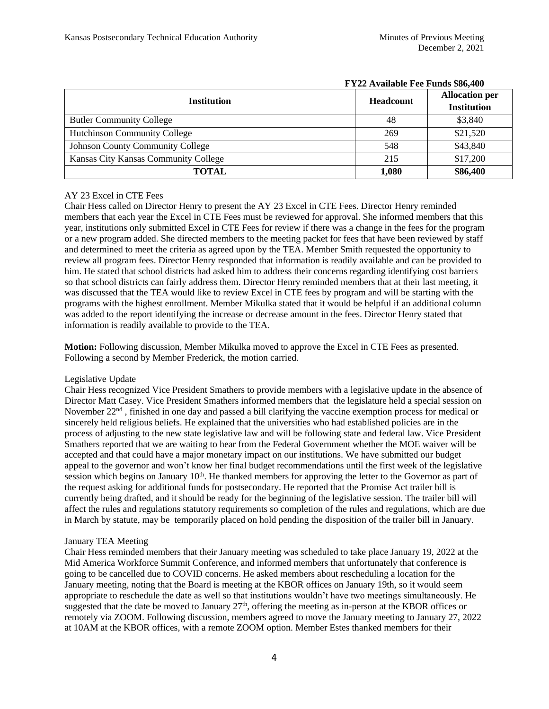|                                         | T THE IT RUILWAY TOO TURKED WOON TOO |                                             |  |
|-----------------------------------------|--------------------------------------|---------------------------------------------|--|
| <b>Institution</b>                      | <b>Headcount</b>                     | <b>Allocation per</b><br><b>Institution</b> |  |
| <b>Butler Community College</b>         | 48                                   | \$3,840                                     |  |
| <b>Hutchinson Community College</b>     | 269                                  | \$21,520                                    |  |
| <b>Johnson County Community College</b> | 548                                  | \$43,840                                    |  |
| Kansas City Kansas Community College    | 215                                  | \$17,200                                    |  |
| <b>TOTAL</b>                            | 1,080                                | \$86,400                                    |  |

# **FY22 Available Fee Funds \$86,400**

# AY 23 Excel in CTE Fees

Chair Hess called on Director Henry to present the AY 23 Excel in CTE Fees. Director Henry reminded members that each year the Excel in CTE Fees must be reviewed for approval. She informed members that this year, institutions only submitted Excel in CTE Fees for review if there was a change in the fees for the program or a new program added. She directed members to the meeting packet for fees that have been reviewed by staff and determined to meet the criteria as agreed upon by the TEA. Member Smith requested the opportunity to review all program fees. Director Henry responded that information is readily available and can be provided to him. He stated that school districts had asked him to address their concerns regarding identifying cost barriers so that school districts can fairly address them. Director Henry reminded members that at their last meeting, it was discussed that the TEA would like to review Excel in CTE fees by program and will be starting with the programs with the highest enrollment. Member Mikulka stated that it would be helpful if an additional column was added to the report identifying the increase or decrease amount in the fees. Director Henry stated that information is readily available to provide to the TEA.

**Motion:** Following discussion, Member Mikulka moved to approve the Excel in CTE Fees as presented. Following a second by Member Frederick, the motion carried.

## Legislative Update

Chair Hess recognized Vice President Smathers to provide members with a legislative update in the absence of Director Matt Casey. Vice President Smathers informed members that the legislature held a special session on November 22<sup>nd</sup>, finished in one day and passed a bill clarifying the vaccine exemption process for medical or sincerely held religious beliefs. He explained that the universities who had established policies are in the process of adjusting to the new state legislative law and will be following state and federal law. Vice President Smathers reported that we are waiting to hear from the Federal Government whether the MOE waiver will be accepted and that could have a major monetary impact on our institutions. We have submitted our budget appeal to the governor and won't know her final budget recommendations until the first week of the legislative session which begins on January 10<sup>th</sup>. He thanked members for approving the letter to the Governor as part of the request asking for additional funds for postsecondary. He reported that the Promise Act trailer bill is currently being drafted, and it should be ready for the beginning of the legislative session. The trailer bill will affect the rules and regulations statutory requirements so completion of the rules and regulations, which are due in March by statute, may be temporarily placed on hold pending the disposition of the trailer bill in January.

# January TEA Meeting

Chair Hess reminded members that their January meeting was scheduled to take place January 19, 2022 at the Mid America Workforce Summit Conference, and informed members that unfortunately that conference is going to be cancelled due to COVID concerns. He asked members about rescheduling a location for the January meeting, noting that the Board is meeting at the KBOR offices on January 19th, so it would seem appropriate to reschedule the date as well so that institutions wouldn't have two meetings simultaneously. He suggested that the date be moved to January  $27<sup>th</sup>$ , offering the meeting as in-person at the KBOR offices or remotely via ZOOM. Following discussion, members agreed to move the January meeting to January 27, 2022 at 10AM at the KBOR offices, with a remote ZOOM option. Member Estes thanked members for their